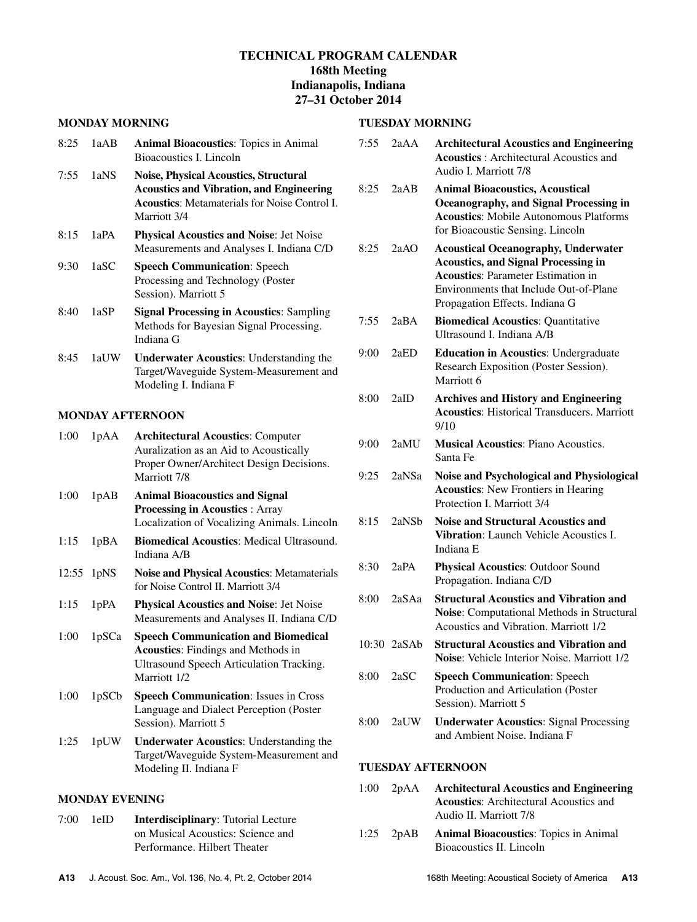# **TECHNICAL PROGRAM CALENDAR 168th Meeting Indianapolis, Indiana 27–31 October 2014**

#### **MONDAY MORNING**

| 8:25 1aAB | <b>Animal Bioacoustics:</b> Topics in Animal |
|-----------|----------------------------------------------|
|           | Bioacoustics I. Lincoln                      |

- 7:55 1aNS **Noise, Physical Acoustics, Structural Acoustics and Vibration, and Engineering Acoustics**: Metamaterials for Noise Control I. Marriott 3/4
- 8:15 1aPA **Physical Acoustics and Noise**: Jet Noise Measurements and Analyses I. Indiana C/D
- 9:30 1aSC **Speech Communication**: Speech Processing and Technology (Poster Session). Marriott 5
- 8:40 1aSP **Signal Processing in Acoustics**: Sampling Methods for Bayesian Signal Processing. Indiana G
- 8:45 1aUW **Underwater Acoustics**: Understanding the Target/Waveguide System-Measurement and Modeling I. Indiana F

### **MONDAY AFTERNOON**

| 1:00  | 1pAA              | <b>Architectural Acoustics: Computer</b><br>Auralization as an Aid to Acoustically<br>Proper Owner/Architect Design Decisions.<br>Marriott 7/8             |
|-------|-------------------|------------------------------------------------------------------------------------------------------------------------------------------------------------|
| 1:00  | 1pAB              | <b>Animal Bioacoustics and Signal</b><br><b>Processing in Acoustics: Array</b><br>Localization of Vocalizing Animals. Lincoln                              |
| 1:15  | 1pBA              | <b>Biomedical Acoustics: Medical Ultrasound.</b><br>Indiana A/B                                                                                            |
| 12:55 | 1pNS              | <b>Noise and Physical Acoustics: Metamaterials</b><br>for Noise Control II. Marriott 3/4                                                                   |
| 1:15  | 1pPA              | <b>Physical Acoustics and Noise: Jet Noise</b><br>Measurements and Analyses II. Indiana C/D                                                                |
| 1:00  | 1pSCa             | <b>Speech Communication and Biomedical</b><br><b>Acoustics:</b> Findings and Methods in<br><b>Ultrasound Speech Articulation Tracking.</b><br>Marriott 1/2 |
| 1:00  | 1pSC <sub>b</sub> | <b>Speech Communication: Issues in Cross</b><br>Language and Dialect Perception (Poster<br>Session). Marriott 5                                            |
| 1:25  | 1pUW              | <b>Underwater Acoustics:</b> Understanding the<br>Target/Waveguide System-Measurement and<br>Modeling II. Indiana F                                        |

### **MONDAY EVENING**

7:00 1eID **Interdisciplinary**: Tutorial Lecture on Musical Acoustics: Science and Performance. Hilbert Theater

## 7:55 2aAA **Architectural Acoustics and Engineering**

**TUESDAY MORNING**

| 8:25<br>2aAB<br><b>Animal Bioacoustics, Acoustical</b><br><b>Oceanography, and Signal Processing in</b><br><b>Acoustics:</b> Mobile Autonomous Platforms<br>for Bioacoustic Sensing. Lincoln<br>2aAO<br>8:25<br><b>Acoustical Oceanography, Underwater</b><br><b>Acoustics, and Signal Processing in</b><br><b>Acoustics: Parameter Estimation in</b><br>Environments that Include Out-of-Plane<br>Propagation Effects. Indiana G<br>2aBA<br>7:55<br><b>Biomedical Acoustics: Quantitative</b><br>Ultrasound I. Indiana A/B<br>9:00<br>2aED<br><b>Education in Acoustics: Undergraduate</b><br>Research Exposition (Poster Session).<br>Marriott <sub>6</sub><br>2aID<br>8:00<br><b>Archives and History and Engineering</b><br><b>Acoustics:</b> Historical Transducers. Marriott<br>9/10<br><b>Musical Acoustics: Piano Acoustics.</b><br>9:00<br>$2a$ MU<br>Santa Fe<br>9:25<br>2aNSa<br>Noise and Psychological and Physiological<br><b>Acoustics:</b> New Frontiers in Hearing<br>Protection I. Marriott 3/4<br>8:15<br>2aNSb<br><b>Noise and Structural Acoustics and</b><br>Vibration: Launch Vehicle Acoustics I.<br>Indiana E<br>8:30<br>2aPA<br><b>Physical Acoustics: Outdoor Sound</b><br>Propagation. Indiana C/D<br><b>Structural Acoustics and Vibration and</b><br>8:00<br>2aSAa<br>Noise: Computational Methods in Structural<br>Acoustics and Vibration. Marriott 1/2<br><b>Structural Acoustics and Vibration and</b><br>10:30 2aSAb<br><b>Noise:</b> Vehicle Interior Noise. Marriott 1/2<br>8:00<br>2aSC<br><b>Speech Communication: Speech</b><br>Production and Articulation (Poster<br>Session). Marriott 5<br>8:00<br><b>Underwater Acoustics: Signal Processing</b><br>2aUW<br>and Ambient Noise. Indiana F | ככ: ו | ∠aAA | Archhectural Acoustics and Engineering<br><b>Acoustics</b> : Architectural Acoustics and<br>Audio I. Marriott 7/8 |
|---------------------------------------------------------------------------------------------------------------------------------------------------------------------------------------------------------------------------------------------------------------------------------------------------------------------------------------------------------------------------------------------------------------------------------------------------------------------------------------------------------------------------------------------------------------------------------------------------------------------------------------------------------------------------------------------------------------------------------------------------------------------------------------------------------------------------------------------------------------------------------------------------------------------------------------------------------------------------------------------------------------------------------------------------------------------------------------------------------------------------------------------------------------------------------------------------------------------------------------------------------------------------------------------------------------------------------------------------------------------------------------------------------------------------------------------------------------------------------------------------------------------------------------------------------------------------------------------------------------------------------------------------------------------------------------------------------------------------------------|-------|------|-------------------------------------------------------------------------------------------------------------------|
|                                                                                                                                                                                                                                                                                                                                                                                                                                                                                                                                                                                                                                                                                                                                                                                                                                                                                                                                                                                                                                                                                                                                                                                                                                                                                                                                                                                                                                                                                                                                                                                                                                                                                                                                       |       |      |                                                                                                                   |
|                                                                                                                                                                                                                                                                                                                                                                                                                                                                                                                                                                                                                                                                                                                                                                                                                                                                                                                                                                                                                                                                                                                                                                                                                                                                                                                                                                                                                                                                                                                                                                                                                                                                                                                                       |       |      |                                                                                                                   |
|                                                                                                                                                                                                                                                                                                                                                                                                                                                                                                                                                                                                                                                                                                                                                                                                                                                                                                                                                                                                                                                                                                                                                                                                                                                                                                                                                                                                                                                                                                                                                                                                                                                                                                                                       |       |      |                                                                                                                   |
|                                                                                                                                                                                                                                                                                                                                                                                                                                                                                                                                                                                                                                                                                                                                                                                                                                                                                                                                                                                                                                                                                                                                                                                                                                                                                                                                                                                                                                                                                                                                                                                                                                                                                                                                       |       |      |                                                                                                                   |
|                                                                                                                                                                                                                                                                                                                                                                                                                                                                                                                                                                                                                                                                                                                                                                                                                                                                                                                                                                                                                                                                                                                                                                                                                                                                                                                                                                                                                                                                                                                                                                                                                                                                                                                                       |       |      |                                                                                                                   |
|                                                                                                                                                                                                                                                                                                                                                                                                                                                                                                                                                                                                                                                                                                                                                                                                                                                                                                                                                                                                                                                                                                                                                                                                                                                                                                                                                                                                                                                                                                                                                                                                                                                                                                                                       |       |      |                                                                                                                   |
|                                                                                                                                                                                                                                                                                                                                                                                                                                                                                                                                                                                                                                                                                                                                                                                                                                                                                                                                                                                                                                                                                                                                                                                                                                                                                                                                                                                                                                                                                                                                                                                                                                                                                                                                       |       |      |                                                                                                                   |
|                                                                                                                                                                                                                                                                                                                                                                                                                                                                                                                                                                                                                                                                                                                                                                                                                                                                                                                                                                                                                                                                                                                                                                                                                                                                                                                                                                                                                                                                                                                                                                                                                                                                                                                                       |       |      |                                                                                                                   |
|                                                                                                                                                                                                                                                                                                                                                                                                                                                                                                                                                                                                                                                                                                                                                                                                                                                                                                                                                                                                                                                                                                                                                                                                                                                                                                                                                                                                                                                                                                                                                                                                                                                                                                                                       |       |      |                                                                                                                   |
|                                                                                                                                                                                                                                                                                                                                                                                                                                                                                                                                                                                                                                                                                                                                                                                                                                                                                                                                                                                                                                                                                                                                                                                                                                                                                                                                                                                                                                                                                                                                                                                                                                                                                                                                       |       |      |                                                                                                                   |
|                                                                                                                                                                                                                                                                                                                                                                                                                                                                                                                                                                                                                                                                                                                                                                                                                                                                                                                                                                                                                                                                                                                                                                                                                                                                                                                                                                                                                                                                                                                                                                                                                                                                                                                                       |       |      |                                                                                                                   |
|                                                                                                                                                                                                                                                                                                                                                                                                                                                                                                                                                                                                                                                                                                                                                                                                                                                                                                                                                                                                                                                                                                                                                                                                                                                                                                                                                                                                                                                                                                                                                                                                                                                                                                                                       |       |      |                                                                                                                   |
|                                                                                                                                                                                                                                                                                                                                                                                                                                                                                                                                                                                                                                                                                                                                                                                                                                                                                                                                                                                                                                                                                                                                                                                                                                                                                                                                                                                                                                                                                                                                                                                                                                                                                                                                       |       |      |                                                                                                                   |

# **TUESDAY AFTERNOON**

| $1:00$ $2pAA$ | <b>Architectural Acoustics and Engineering</b> |
|---------------|------------------------------------------------|
|               | <b>Acoustics:</b> Architectural Acoustics and  |
|               | Audio II. Marriott 7/8                         |
|               |                                                |

1:25 2pAB **Animal Bioacoustics**: Topics in Animal Bioacoustics II. Lincoln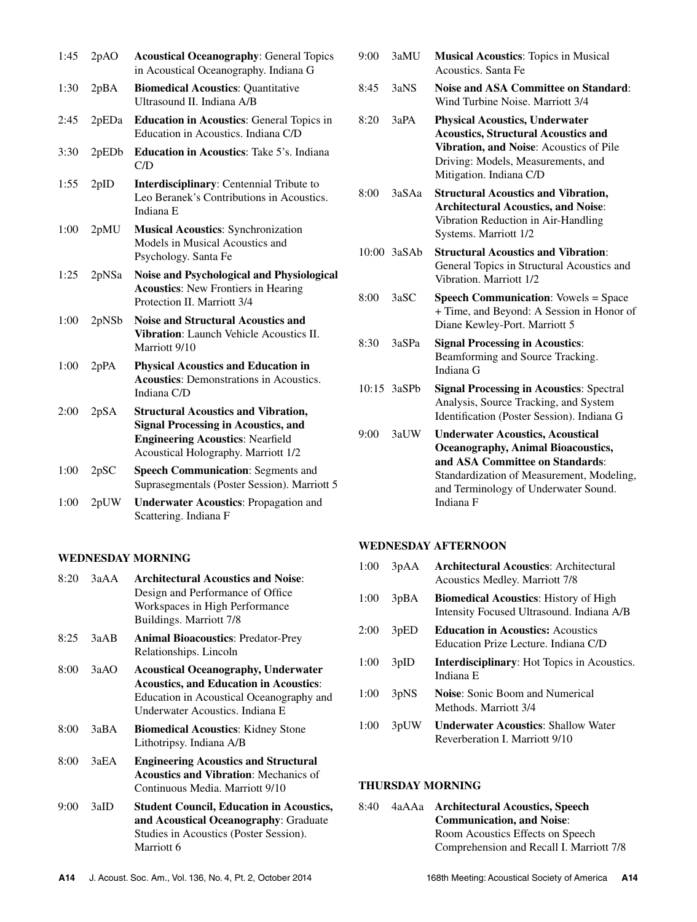| 1:45 | 2pAO  | <b>Acoustical Oceanography: General Topics</b><br>in Acoustical Oceanography. Indiana G                                                                                    |
|------|-------|----------------------------------------------------------------------------------------------------------------------------------------------------------------------------|
| 1:30 | 2pBA  | <b>Biomedical Acoustics: Quantitative</b><br>Ultrasound II. Indiana A/B                                                                                                    |
| 2:45 | 2pEDa | <b>Education in Acoustics:</b> General Topics in<br>Education in Acoustics. Indiana C/D                                                                                    |
| 3:30 | 2pEDb | Education in Acoustics: Take 5's. Indiana<br>C/D                                                                                                                           |
| 1:55 | 2pID  | Interdisciplinary: Centennial Tribute to<br>Leo Beranek's Contributions in Acoustics.<br>Indiana E                                                                         |
| 1:00 | 2pMU  | <b>Musical Acoustics: Synchronization</b><br>Models in Musical Acoustics and<br>Psychology. Santa Fe                                                                       |
| 1:25 | 2pNSa | Noise and Psychological and Physiological<br><b>Acoustics:</b> New Frontiers in Hearing<br>Protection II. Marriott 3/4                                                     |
| 1:00 | 2pNSb | <b>Noise and Structural Acoustics and</b><br><b>Vibration:</b> Launch Vehicle Acoustics II.<br>Marriott 9/10                                                               |
| 1:00 | 2pPA  | <b>Physical Acoustics and Education in</b><br><b>Acoustics:</b> Demonstrations in Acoustics.<br>Indiana C/D                                                                |
| 2:00 | 2pSA  | <b>Structural Acoustics and Vibration,</b><br><b>Signal Processing in Acoustics, and</b><br><b>Engineering Acoustics: Nearfield</b><br>Acoustical Holography. Marriott 1/2 |
| 1:00 | 2pSC  | <b>Speech Communication: Segments and</b><br>Suprasegmentals (Poster Session). Marriott 5                                                                                  |
| 1:00 | 2pUW  | <b>Underwater Acoustics: Propagation and</b><br>Scattering. Indiana F                                                                                                      |

### **WEDNESDAY MORNING**

| 8.20 | 3aAA | <b>Architectural Acoustics and Noise:</b><br>Design and Performance of Office<br>Workspaces in High Performance<br>Buildings. Marriott 7/8                                 |
|------|------|----------------------------------------------------------------------------------------------------------------------------------------------------------------------------|
| 8:25 | 3aAB | <b>Animal Bioacoustics: Predator-Prey</b><br>Relationships. Lincoln                                                                                                        |
| 8:00 | 3aAO | <b>Acoustical Oceanography, Underwater</b><br><b>Acoustics, and Education in Acoustics:</b><br>Education in Acoustical Oceanography and<br>Underwater Acoustics. Indiana E |
| 8:00 | 3aBA | <b>Biomedical Acoustics:</b> Kidney Stone<br>Lithotripsy. Indiana A/B                                                                                                      |
| 8:00 | 3aEA | <b>Engineering Acoustics and Structural</b><br><b>Acoustics and Vibration:</b> Mechanics of<br>Continuous Media. Marriott 9/10                                             |
| 9:00 | 3aID | <b>Student Council, Education in Acoustics,</b><br>and Acoustical Oceanography: Graduate<br>Studies in Acoustics (Poster Session).<br>Marriott 6                           |

|  | 9:00 3aMU Musical Acoustics: Topics in Musical |
|--|------------------------------------------------|
|  | Acoustics. Santa Fe                            |

- 8:45 3aNS **Noise and ASA Committee on Standard**: Wind Turbine Noise. Marriott 3/4
- 8:20 3aPA **Physical Acoustics, Underwater Acoustics, Structural Acoustics and Vibration, and Noise**: Acoustics of Pile Driving: Models, Measurements, and Mitigation. Indiana C/D
- 8:00 3aSAa **Structural Acoustics and Vibration, Architectural Acoustics, and Noise**: Vibration Reduction in Air-Handling Systems. Marriott 1/2
- 10:00 3aSAb **Structural Acoustics and Vibration**: General Topics in Structural Acoustics and Vibration. Marriott 1/2
- 8:00 3aSC **Speech Communication**: Vowels = Space + Time, and Beyond: A Session in Honor of Diane Kewley-Port. Marriott 5
- 8:30 3aSPa **Signal Processing in Acoustics**: Beamforming and Source Tracking. Indiana G
- 10:15 3aSPb **Signal Processing in Acoustics**: Spectral Analysis, Source Tracking, and System Identification (Poster Session). Indiana G
- 9:00 3aUW **Underwater Acoustics, Acoustical Oceanography, Animal Bioacoustics, and ASA Committee on Standards**: Standardization of Measurement, Modeling, and Terminology of Underwater Sound. Indiana F

### **WEDNESDAY AFTERNOON**

| 1:00 | 3pAA              | <b>Architectural Acoustics:</b> Architectural<br><b>Acoustics Medley. Marriott 7/8</b>    |
|------|-------------------|-------------------------------------------------------------------------------------------|
| 1:00 | 3pBA              | <b>Biomedical Acoustics:</b> History of High<br>Intensity Focused Ultrasound. Indiana A/B |
| 2:00 | 3pED              | <b>Education in Acoustics:</b> Acoustics<br>Education Prize Lecture. Indiana C/D          |
| 1:00 | 3pID              | <b>Interdisciplinary:</b> Hot Topics in Acoustics.<br>Indiana E                           |
| 1:00 | 3 <sub>p</sub> NS | <b>Noise:</b> Sonic Boom and Numerical<br>Methods. Marriott 3/4                           |
| 1:00 | 3pUW              | <b>Underwater Acoustics: Shallow Water</b><br>Reverberation I. Marriott 9/10              |

### **THURSDAY MORNING**

| 8:40 | 4aAAa Architectural Acoustics, Speech    |
|------|------------------------------------------|
|      | <b>Communication, and Noise:</b>         |
|      | Room Acoustics Effects on Speech         |
|      | Comprehension and Recall I. Marriott 7/8 |